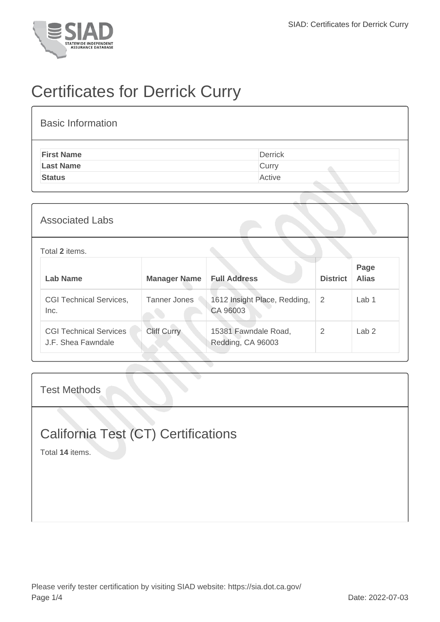

## Certificates for Derrick Curry

| <b>Basic Information</b> |                |
|--------------------------|----------------|
| <b>First Name</b>        | <b>Derrick</b> |
| <b>Last Name</b>         | Curry          |
| <b>Status</b>            | Active         |

| <b>Associated Labs</b> |  |
|------------------------|--|
|------------------------|--|

## Total **2** items.

| Lab Name                                            | <b>Manager Name</b> | <b>Full Address</b>                       | <b>District</b> | Page<br><b>Alias</b> |
|-----------------------------------------------------|---------------------|-------------------------------------------|-----------------|----------------------|
| <b>CGI Technical Services,</b><br>Inc.              | Tanner Jones        | 1612 Insight Place, Redding,<br>CA 96003  | -2              | Lab <sub>1</sub>     |
| <b>CGI Technical Services</b><br>J.F. Shea Fawndale | <b>Cliff Curry</b>  | 15381 Fawndale Road,<br>Redding, CA 96003 | 2               | Lab <sub>2</sub>     |

Test Methods

## California Test (CT) Certifications

Total **14** items.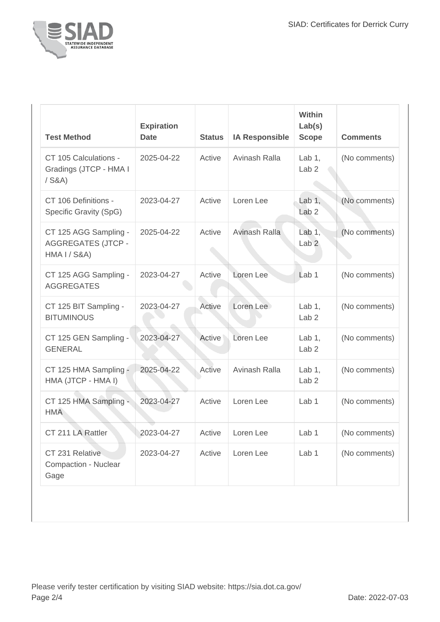

| <b>Test Method</b>                                                 | <b>Expiration</b><br><b>Date</b> | <b>Status</b> | <b>IA Responsible</b> | Within<br>Lab(s)<br><b>Scope</b> | <b>Comments</b> |
|--------------------------------------------------------------------|----------------------------------|---------------|-----------------------|----------------------------------|-----------------|
| CT 105 Calculations -<br>Gradings (JTCP - HMA I<br>$/$ S&A)        | 2025-04-22                       | Active        | Avinash Ralla         | Lab $1,$<br>Lab <sub>2</sub>     | (No comments)   |
| CT 106 Definitions -<br>Specific Gravity (SpG)                     | 2023-04-27                       | Active        | Loren Lee             | Lab $1,$<br>Lab <sub>2</sub>     | (No comments)   |
| CT 125 AGG Sampling -<br><b>AGGREGATES (JTCP -</b><br>HMA I / S8A) | 2025-04-22                       | Active        | Avinash Ralla         | Lab $1,$<br>Lab <sub>2</sub>     | (No comments)   |
| CT 125 AGG Sampling -<br><b>AGGREGATES</b>                         | 2023-04-27                       | Active        | Loren Lee             | Lab <sub>1</sub>                 | (No comments)   |
| CT 125 BIT Sampling -<br><b>BITUMINOUS</b>                         | 2023-04-27                       | Active        | Loren Lee             | Lab $1$ ,<br>Lab <sub>2</sub>    | (No comments)   |
| CT 125 GEN Sampling -<br><b>GENERAL</b>                            | 2023-04-27                       | Active        | Loren Lee             | Lab $1,$<br>Lab <sub>2</sub>     | (No comments)   |
| CT 125 HMA Sampling -<br>HMA (JTCP - HMA I)                        | 2025-04-22                       | Active        | Avinash Ralla         | Lab $1,$<br>Lab <sub>2</sub>     | (No comments)   |
| CT 125 HMA Sampling -<br><b>HMA</b>                                | 2023-04-27                       | Active        | Loren Lee             | Lab <sub>1</sub>                 | (No comments)   |
| CT 211 LA Rattler                                                  | 2023-04-27                       | Active        | Loren Lee             | Lab <sub>1</sub>                 | (No comments)   |
| CT 231 Relative<br><b>Compaction - Nuclear</b><br>Gage             | 2023-04-27                       | Active        | Loren Lee             | Lab <sub>1</sub>                 | (No comments)   |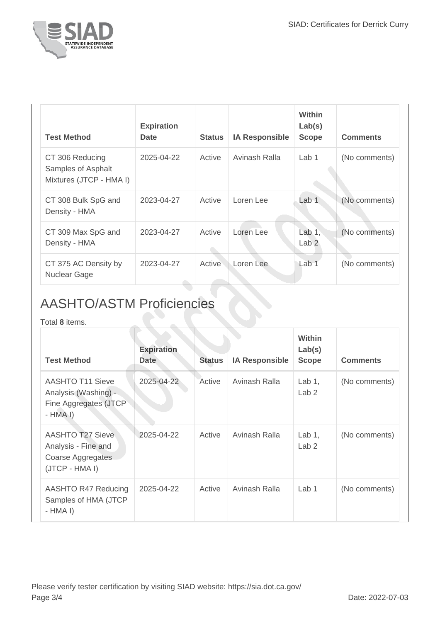

| <b>Test Method</b>                                               | <b>Expiration</b><br><b>Date</b> | <b>Status</b> | <b>IA Responsible</b> | <b>Within</b><br>Lab(s)<br><b>Scope</b> | <b>Comments</b> |
|------------------------------------------------------------------|----------------------------------|---------------|-----------------------|-----------------------------------------|-----------------|
| CT 306 Reducing<br>Samples of Asphalt<br>Mixtures (JTCP - HMA I) | 2025-04-22                       | Active        | Avinash Ralla         | Lab <sub>1</sub>                        | (No comments)   |
| CT 308 Bulk SpG and<br>Density - HMA                             | 2023-04-27                       | Active        | Loren Lee             | Lab 1                                   | (No comments)   |
| CT 309 Max SpG and<br>Density - HMA                              | 2023-04-27                       | Active        | Loren Lee             | Lab $1$ ,<br>Lab <sub>2</sub>           | (No comments)   |
| CT 375 AC Density by<br><b>Nuclear Gage</b>                      | 2023-04-27                       | Active        | Loren Lee             | Lab <sub>1</sub>                        | (No comments)   |

## AASHTO/ASTM Proficiencies

 $\hat{\mathbb{R}}$ 

Total **8** items.

| <b>Test Method</b>                                                                    | <b>Expiration</b><br><b>Date</b> | <b>Status</b> | <b>IA Responsible</b> | Within<br>Lab(s)<br><b>Scope</b> | <b>Comments</b> |
|---------------------------------------------------------------------------------------|----------------------------------|---------------|-----------------------|----------------------------------|-----------------|
| <b>AASHTO T11 Sieve</b><br>Analysis (Washing) -<br>Fine Aggregates (JTCP<br>$-HMA I$  | 2025-04-22                       | Active        | Avinash Ralla         | Lab $1,$<br>Lab <sub>2</sub>     | (No comments)   |
| <b>AASHTO T27 Sieve</b><br>Analysis - Fine and<br>Coarse Aggregates<br>(JTCP - HMA I) | 2025-04-22                       | Active        | Avinash Ralla         | Lab $1,$<br>Lab <sub>2</sub>     | (No comments)   |
| AASHTO R47 Reducing<br>Samples of HMA (JTCP<br>- HMA I)                               | 2025-04-22                       | Active        | Avinash Ralla         | Lab <sub>1</sub>                 | (No comments)   |